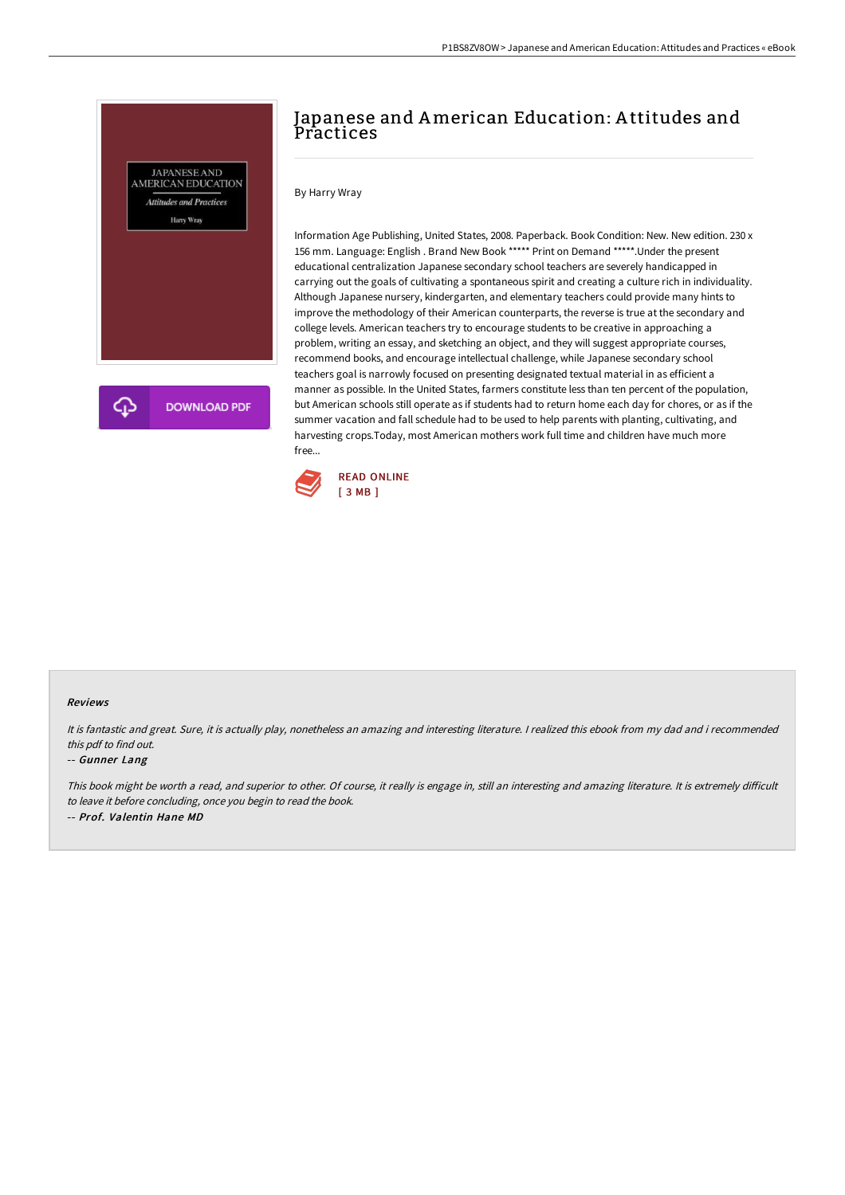

# Japanese and American Education: A ttitudes and **Practices**

## By Harry Wray

Information Age Publishing, United States, 2008. Paperback. Book Condition: New. New edition. 230 x 156 mm. Language: English . Brand New Book \*\*\*\*\* Print on Demand \*\*\*\*\*.Under the present educational centralization Japanese secondary school teachers are severely handicapped in carrying out the goals of cultivating a spontaneous spirit and creating a culture rich in individuality. Although Japanese nursery, kindergarten, and elementary teachers could provide many hints to improve the methodology of their American counterparts, the reverse is true at the secondary and college levels. American teachers try to encourage students to be creative in approaching a problem, writing an essay, and sketching an object, and they will suggest appropriate courses, recommend books, and encourage intellectual challenge, while Japanese secondary school teachers goal is narrowly focused on presenting designated textual material in as efficient a manner as possible. In the United States, farmers constitute less than ten percent of the population, but American schools still operate as if students had to return home each day for chores, or as if the summer vacation and fall schedule had to be used to help parents with planting, cultivating, and harvesting crops.Today, most American mothers work full time and children have much more free...



### Reviews

It is fantastic and great. Sure, it is actually play, nonetheless an amazing and interesting literature. <sup>I</sup> realized this ebook from my dad and i recommended this pdf to find out.

#### -- Gunner Lang

This book might be worth a read, and superior to other. Of course, it really is engage in, still an interesting and amazing literature. It is extremely difficult to leave it before concluding, once you begin to read the book. -- Prof. Valentin Hane MD